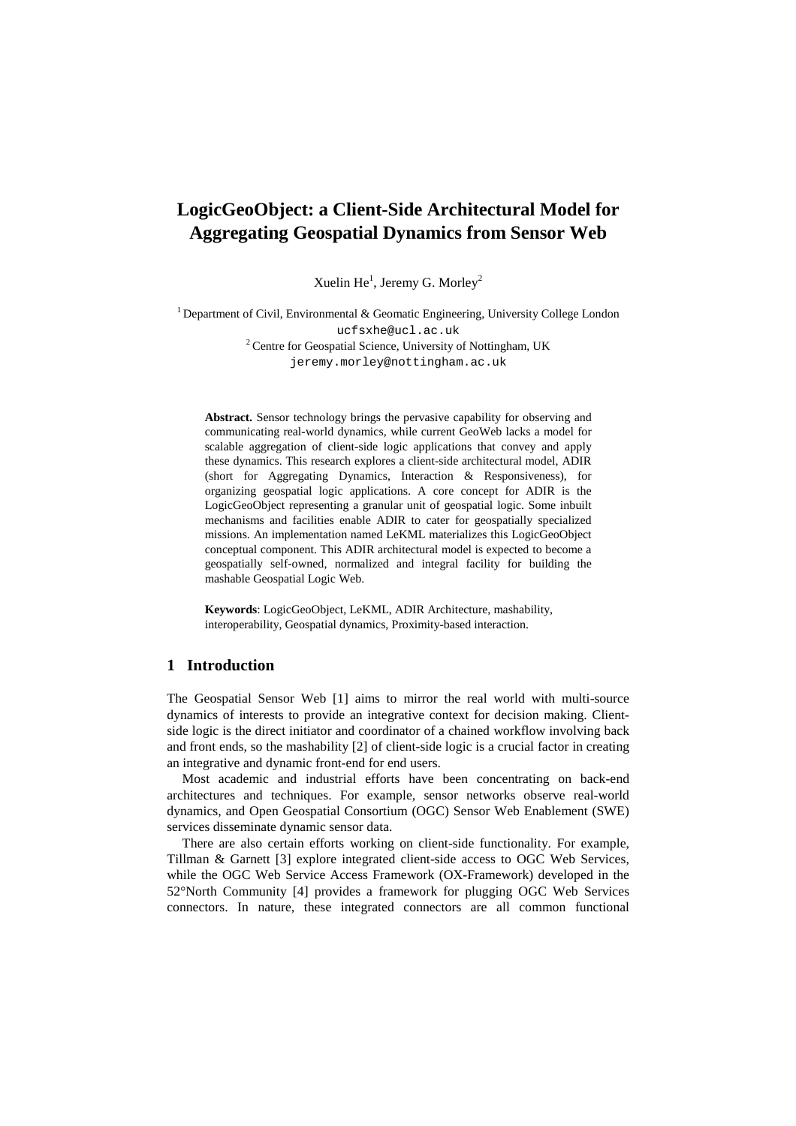# **LogicGeoObject: a Client-Side Architectural Model for Aggregating Geospatial Dynamics from Sensor Web**

Xuelin He $^{1}$ , Jeremy G. Morley<sup>2</sup>

<sup>1</sup> Department of Civil, Environmental & Geomatic Engineering, University College London ucfsxhe@ucl.ac.uk <sup>2</sup> Centre for Geospatial Science, University of Nottingham, UK

jeremy.morley@nottingham.ac.uk

**Abstract.** Sensor technology brings the pervasive capability for observing and communicating real-world dynamics, while current GeoWeb lacks a model for scalable aggregation of client-side logic applications that convey and apply these dynamics. This research explores a client-side architectural model, ADIR (short for Aggregating Dynamics, Interaction & Responsiveness), for organizing geospatial logic applications. A core concept for ADIR is the LogicGeoObject representing a granular unit of geospatial logic. Some inbuilt mechanisms and facilities enable ADIR to cater for geospatially specialized missions. An implementation named LeKML materializes this LogicGeoObject conceptual component. This ADIR architectural model is expected to become a geospatially self-owned, normalized and integral facility for building the mashable Geospatial Logic Web.

**Keywords**: LogicGeoObject, LeKML, ADIR Architecture, mashability, interoperability, Geospatial dynamics, Proximity-based interaction.

# **1 Introduction**

The Geospatial Sensor Web [1] aims to mirror the real world with multi-source dynamics of interests to provide an integrative context for decision making. Clientside logic is the direct initiator and coordinator of a chained workflow involving back and front ends, so the mashability [2] of client-side logic is a crucial factor in creating an integrative and dynamic front-end for end users.

Most academic and industrial efforts have been concentrating on back-end architectures and techniques. For example, sensor networks observe real-world dynamics, and Open Geospatial Consortium (OGC) Sensor Web Enablement (SWE) services disseminate dynamic sensor data.

There are also certain efforts working on client-side functionality. For example, Tillman & Garnett [3] explore integrated client-side access to OGC Web Services, while the OGC Web Service Access Framework (OX-Framework) developed in the 52°North Community [4] provides a framework for plugging OGC Web Services connectors. In nature, these integrated connectors are all common functional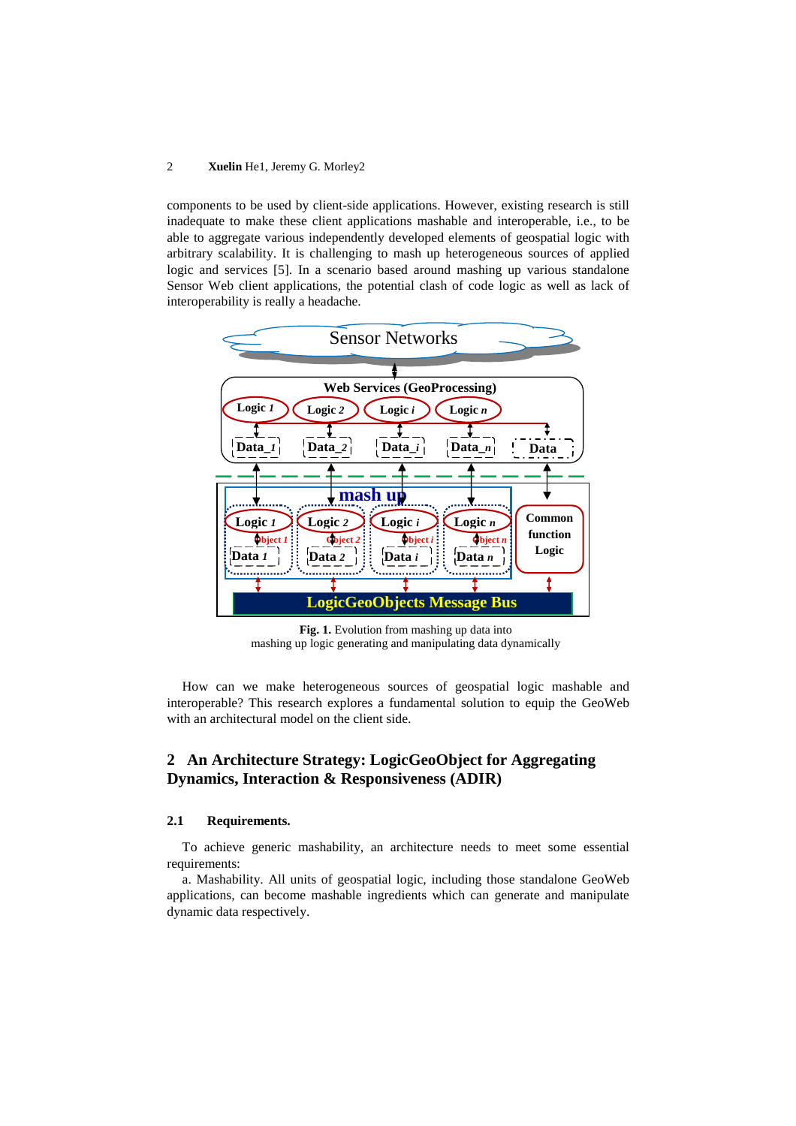#### 2 **Xuelin** He1, Jeremy G. Morley2

components to be used by client-side applications. However, existing research is still inadequate to make these client applications mashable and interoperable, i.e., to be able to aggregate various independently developed elements of geospatial logic with arbitrary scalability. It is challenging to mash up heterogeneous sources of applied logic and services [5]. In a scenario based around mashing up various standalone Sensor Web client applications, the potential clash of code logic as well as lack of interoperability is really a headache.



**Fig. 1.** Evolution from mashing up data into mashing up logic generating and manipulating data dynamically

How can we make heterogeneous sources of geospatial logic mashable and interoperable? This research explores a fundamental solution to equip the GeoWeb with an architectural model on the client side.

# **2 An Architecture Strategy: LogicGeoObject for Aggregating Dynamics, Interaction & Responsiveness (ADIR)**

### **2.1 Requirements.**

To achieve generic mashability, an architecture needs to meet some essential requirements:

a. Mashability. All units of geospatial logic, including those standalone GeoWeb applications, can become mashable ingredients which can generate and manipulate dynamic data respectively.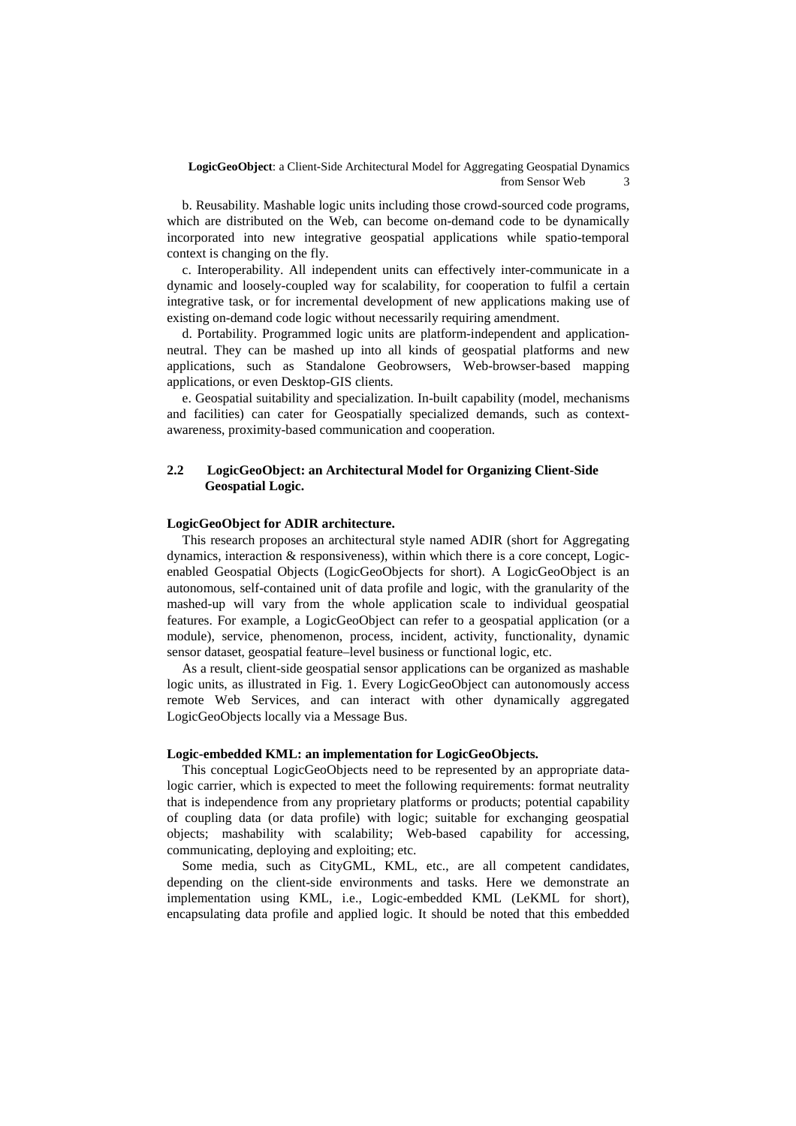b. Reusability. Mashable logic units including those crowd-sourced code programs, which are distributed on the Web, can become on-demand code to be dynamically incorporated into new integrative geospatial applications while spatio-temporal context is changing on the fly.

c. Interoperability. All independent units can effectively inter-communicate in a dynamic and loosely-coupled way for scalability, for cooperation to fulfil a certain integrative task, or for incremental development of new applications making use of existing on-demand code logic without necessarily requiring amendment.

d. Portability. Programmed logic units are platform-independent and applicationneutral. They can be mashed up into all kinds of geospatial platforms and new applications, such as Standalone Geobrowsers, Web-browser-based mapping applications, or even Desktop-GIS clients.

e. Geospatial suitability and specialization. In-built capability (model, mechanisms and facilities) can cater for Geospatially specialized demands, such as contextawareness, proximity-based communication and cooperation.

## **2.2 LogicGeoObject: an Architectural Model for Organizing Client-Side Geospatial Logic.**

#### **LogicGeoObject for ADIR architecture.**

This research proposes an architectural style named ADIR (short for Aggregating dynamics, interaction & responsiveness), within which there is a core concept, Logicenabled Geospatial Objects (LogicGeoObjects for short). A LogicGeoObject is an autonomous, self-contained unit of data profile and logic, with the granularity of the mashed-up will vary from the whole application scale to individual geospatial features. For example, a LogicGeoObject can refer to a geospatial application (or a module), service, phenomenon, process, incident, activity, functionality, dynamic sensor dataset, geospatial feature–level business or functional logic, etc.

As a result, client-side geospatial sensor applications can be organized as mashable logic units, as illustrated in Fig. 1. Every LogicGeoObject can autonomously access remote Web Services, and can interact with other dynamically aggregated LogicGeoObjects locally via a Message Bus.

#### **Logic-embedded KML: an implementation for LogicGeoObjects.**

This conceptual LogicGeoObjects need to be represented by an appropriate datalogic carrier, which is expected to meet the following requirements: format neutrality that is independence from any proprietary platforms or products; potential capability of coupling data (or data profile) with logic; suitable for exchanging geospatial objects; mashability with scalability; Web-based capability for accessing, communicating, deploying and exploiting; etc.

Some media, such as CityGML, KML, etc., are all competent candidates, depending on the client-side environments and tasks. Here we demonstrate an implementation using KML, i.e., Logic-embedded KML (LeKML for short), encapsulating data profile and applied logic. It should be noted that this embedded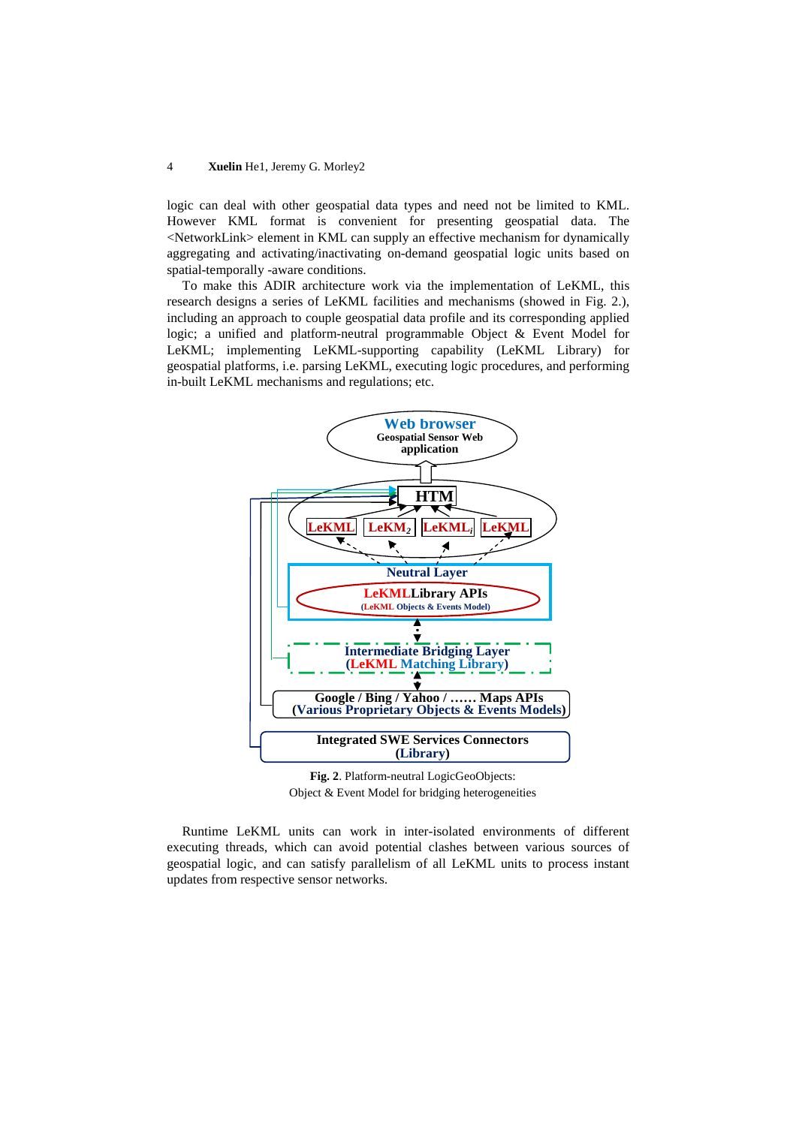#### 4 **Xuelin** He1, Jeremy G. Morley2

logic can deal with other geospatial data types and need not be limited to KML. However KML format is convenient for presenting geospatial data. The <NetworkLink> element in KML can supply an effective mechanism for dynamically aggregating and activating/inactivating on-demand geospatial logic units based on spatial-temporally -aware conditions.

To make this ADIR architecture work via the implementation of LeKML, this research designs a series of LeKML facilities and mechanisms (showed in Fig. 2.), including an approach to couple geospatial data profile and its corresponding applied logic; a unified and platform-neutral programmable Object & Event Model for LeKML; implementing LeKML-supporting capability (LeKML Library) for geospatial platforms, i.e. parsing LeKML, executing logic procedures, and performing in-built LeKML mechanisms and regulations; etc.



**Fig. 2**. Platform-neutral LogicGeoObjects: Object & Event Model for bridging heterogeneities

Runtime LeKML units can work in inter-isolated environments of different executing threads, which can avoid potential clashes between various sources of geospatial logic, and can satisfy parallelism of all LeKML units to process instant updates from respective sensor networks.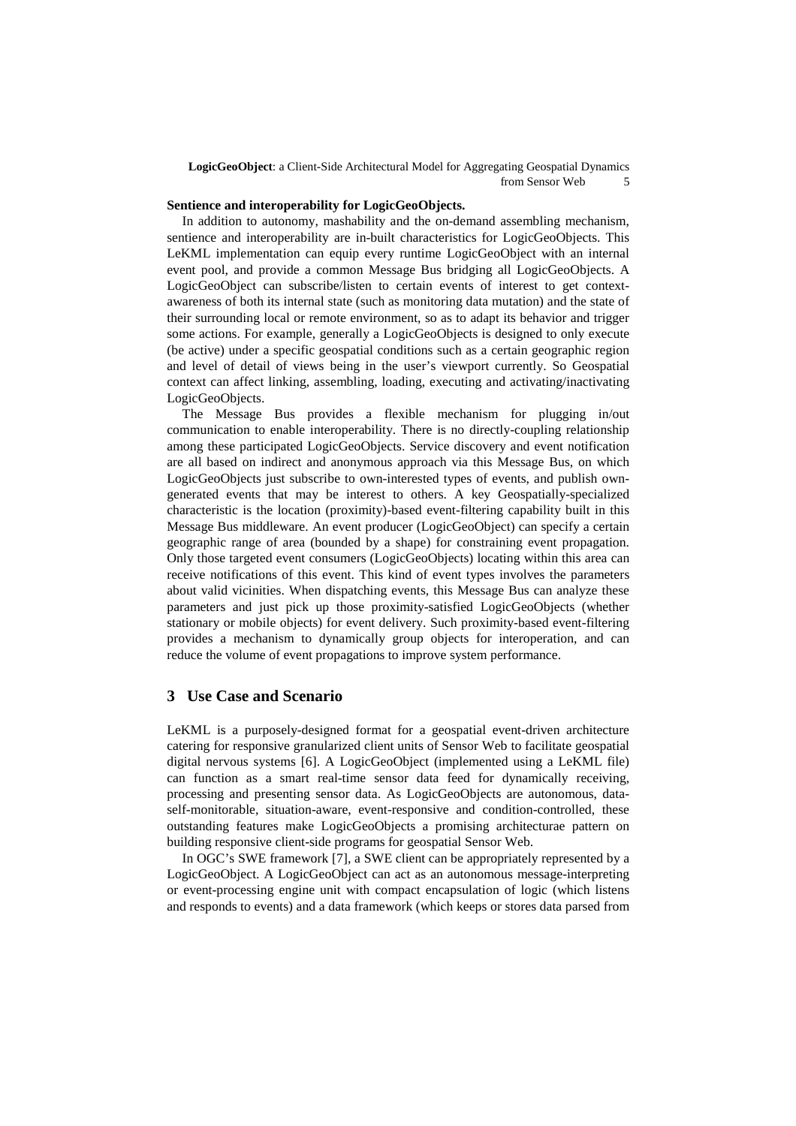**LogicGeoObject**: a Client-Side Architectural Model for Aggregating Geospatial Dynamics from Sensor Web 5

#### **Sentience and interoperability for LogicGeoObjects.**

In addition to autonomy, mashability and the on-demand assembling mechanism, sentience and interoperability are in-built characteristics for LogicGeoObjects. This LeKML implementation can equip every runtime LogicGeoObject with an internal event pool, and provide a common Message Bus bridging all LogicGeoObjects. A LogicGeoObject can subscribe/listen to certain events of interest to get contextawareness of both its internal state (such as monitoring data mutation) and the state of their surrounding local or remote environment, so as to adapt its behavior and trigger some actions. For example, generally a LogicGeoObjects is designed to only execute (be active) under a specific geospatial conditions such as a certain geographic region and level of detail of views being in the user's viewport currently. So Geospatial context can affect linking, assembling, loading, executing and activating/inactivating LogicGeoObjects.

The Message Bus provides a flexible mechanism for plugging in/out communication to enable interoperability. There is no directly-coupling relationship among these participated LogicGeoObjects. Service discovery and event notification are all based on indirect and anonymous approach via this Message Bus, on which LogicGeoObjects just subscribe to own-interested types of events, and publish owngenerated events that may be interest to others. A key Geospatially-specialized characteristic is the location (proximity)-based event-filtering capability built in this Message Bus middleware. An event producer (LogicGeoObject) can specify a certain geographic range of area (bounded by a shape) for constraining event propagation. Only those targeted event consumers (LogicGeoObjects) locating within this area can receive notifications of this event. This kind of event types involves the parameters about valid vicinities. When dispatching events, this Message Bus can analyze these parameters and just pick up those proximity-satisfied LogicGeoObjects (whether stationary or mobile objects) for event delivery. Such proximity-based event-filtering provides a mechanism to dynamically group objects for interoperation, and can reduce the volume of event propagations to improve system performance.

### **3 Use Case and Scenario**

LeKML is a purposely-designed format for a geospatial event-driven architecture catering for responsive granularized client units of Sensor Web to facilitate geospatial digital nervous systems [6]. A LogicGeoObject (implemented using a LeKML file) can function as a smart real-time sensor data feed for dynamically receiving, processing and presenting sensor data. As LogicGeoObjects are autonomous, dataself-monitorable, situation-aware, event-responsive and condition-controlled, these outstanding features make LogicGeoObjects a promising architecturae pattern on building responsive client-side programs for geospatial Sensor Web.

In OGC's SWE framework [7], a SWE client can be appropriately represented by a LogicGeoObject. A LogicGeoObject can act as an autonomous message-interpreting or event-processing engine unit with compact encapsulation of logic (which listens and responds to events) and a data framework (which keeps or stores data parsed from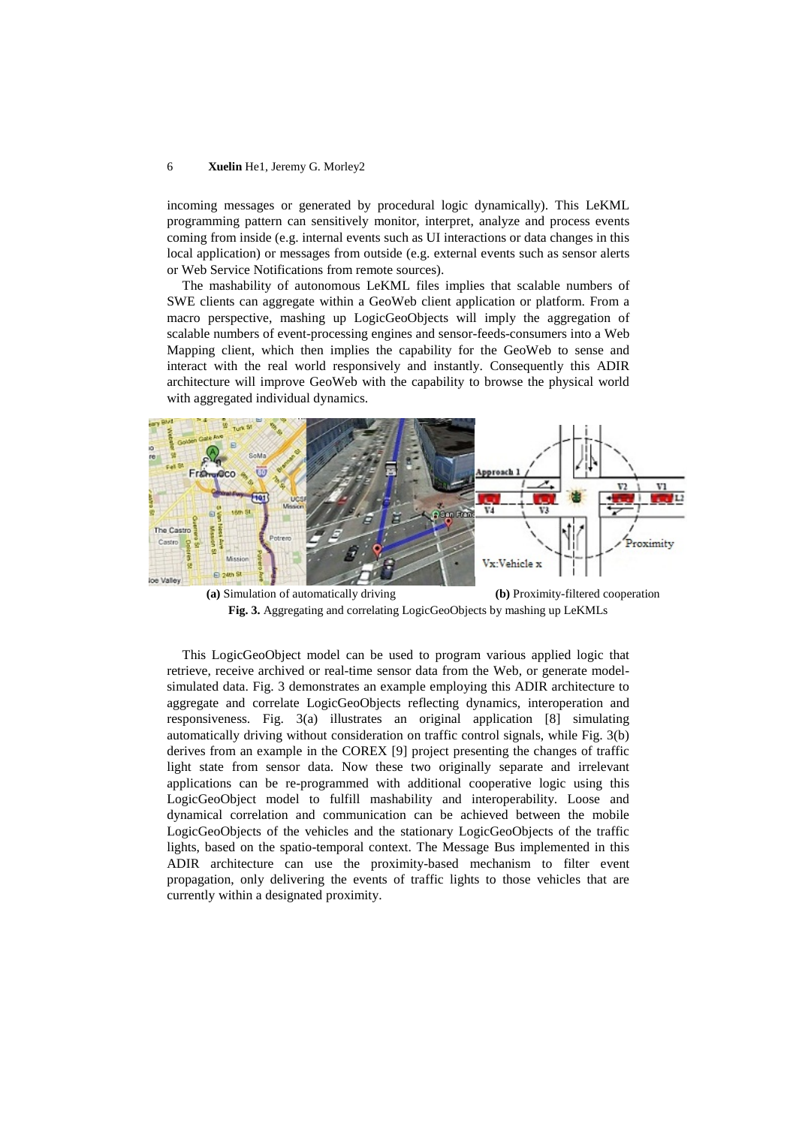#### 6 **Xuelin** He1, Jeremy G. Morley2

incoming messages or generated by procedural logic dynamically). This LeKML programming pattern can sensitively monitor, interpret, analyze and process events coming from inside (e.g. internal events such as UI interactions or data changes in this local application) or messages from outside (e.g. external events such as sensor alerts or Web Service Notifications from remote sources).

The mashability of autonomous LeKML files implies that scalable numbers of SWE clients can aggregate within a GeoWeb client application or platform. From a macro perspective, mashing up LogicGeoObjects will imply the aggregation of scalable numbers of event-processing engines and sensor-feeds-consumers into a Web Mapping client, which then implies the capability for the GeoWeb to sense and interact with the real world responsively and instantly. Consequently this ADIR architecture will improve GeoWeb with the capability to browse the physical world with aggregated individual dynamics.



**(a)** Simulation of automatically driving **(b)** Proximity-filtered cooperation **Fig. 3.** Aggregating and correlating LogicGeoObjects by mashing up LeKMLs

This LogicGeoObject model can be used to program various applied logic that retrieve, receive archived or real-time sensor data from the Web, or generate modelsimulated data. Fig. 3 demonstrates an example employing this ADIR architecture to aggregate and correlate LogicGeoObjects reflecting dynamics, interoperation and responsiveness. Fig. 3(a) illustrates an original application [8] simulating automatically driving without consideration on traffic control signals, while Fig. 3(b) derives from an example in the COREX [9] project presenting the changes of traffic light state from sensor data. Now these two originally separate and irrelevant applications can be re-programmed with additional cooperative logic using this LogicGeoObject model to fulfill mashability and interoperability. Loose and dynamical correlation and communication can be achieved between the mobile LogicGeoObjects of the vehicles and the stationary LogicGeoObjects of the traffic lights, based on the spatio-temporal context. The Message Bus implemented in this ADIR architecture can use the proximity-based mechanism to filter event propagation, only delivering the events of traffic lights to those vehicles that are currently within a designated proximity.